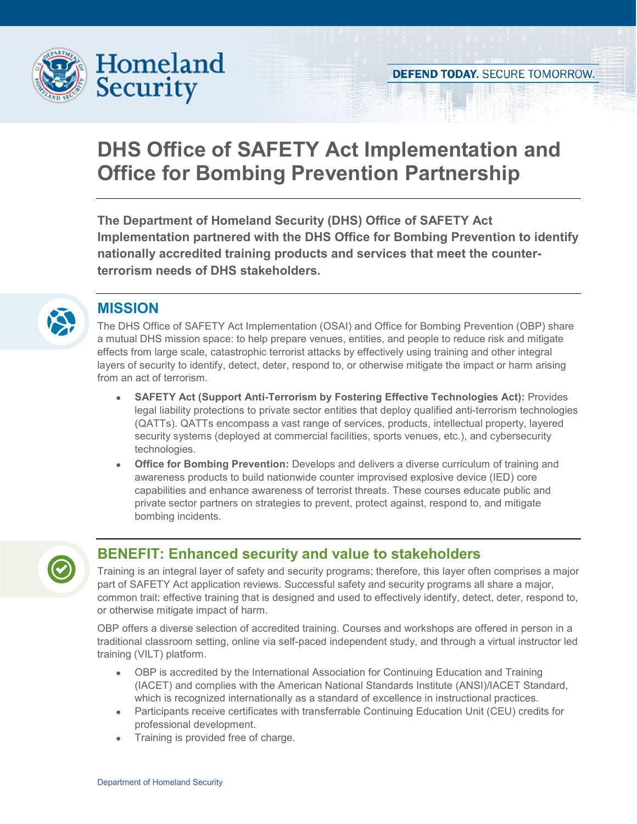

# **DHS Office of SAFETY Act Implementation and Office for Bombing Prevention Partnership**

**The Department of Homeland Security (DHS) Office of SAFETY Act Implementation partnered with the DHS Office for Bombing Prevention to identify nationally accredited training products and services that meet the counterterrorism needs of DHS stakeholders.** 



### **MISSION**

The DHS Office of SAFETY Act Implementation (OSAI) and Office for Bombing Prevention (OBP) share a mutual DHS mission space: to help prepare venues, entities, and people to reduce risk and mitigate effects from large scale, catastrophic terrorist attacks by effectively using training and other integral layers of security to identify, detect, deter, respond to, or otherwise mitigate the impact or harm arising from an act of terrorism.

- **SAFETY Act (Support Anti-Terrorism by Fostering Effective Technologies Act):** Provides legal liability protections to private sector entities that deploy qualified anti-terrorism technologies (QATTs). QATTs encompass a vast range of services, products, intellectual property, layered security systems (deployed at commercial facilities, sports venues, etc.), and cybersecurity technologies.
- **Office for Bombing Prevention:** Develops and delivers a diverse curriculum of training and awareness products to build nationwide counter improvised explosive device (IED) core capabilities and enhance awareness of terrorist threats. These courses educate public and private sector partners on strategies to prevent, protect against, respond to, and mitigate bombing incidents.



# **BENEFIT: Enhanced security and value to stakeholders**

Training is an integral layer of safety and security programs; therefore, this layer often comprises a major part of SAFETY Act application reviews. Successful safety and security programs all share a major, common trait: effective training that is designed and used to effectively identify, detect, deter, respond to, or otherwise mitigate impact of harm.

OBP offers a diverse selection of accredited training. Courses and workshops are offered in person in a traditional classroom setting, online via self-paced independent study, and through a virtual instructor led training (VILT) platform.

- OBP is accredited by the International Association for Continuing Education and Training (IACET) and complies with the American National Standards Institute (ANSI)/IACET Standard, which is recognized internationally as a standard of excellence in instructional practices.
- Participants receive certificates with transferrable Continuing Education Unit (CEU) credits for professional development.
- Training is provided free of charge.